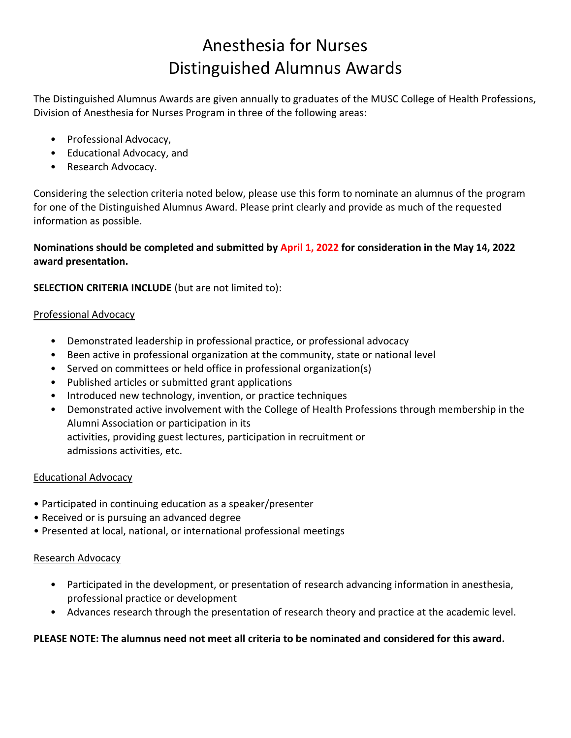# Anesthesia for Nurses Distinguished Alumnus Awards

The Distinguished Alumnus Awards are given annually to graduates of the MUSC College of Health Professions, Division of Anesthesia for Nurses Program in three of the following areas:

- Professional Advocacy,
- Educational Advocacy, and
- Research Advocacy.

Considering the selection criteria noted below, please use this form to nominate an alumnus of the program for one of the Distinguished Alumnus Award. Please print clearly and provide as much of the requested information as possible.

### **Nominations should be completed and submitted by April 1, 2022 for consideration in the May 14, 2022 award presentation.**

**SELECTION CRITERIA INCLUDE** (but are not limited to):

#### Professional Advocacy

- Demonstrated leadership in professional practice, or professional advocacy
- Been active in professional organization at the community, state or national level
- Served on committees or held office in professional organization(s)
- Published articles or submitted grant applications
- Introduced new technology, invention, or practice techniques
- Demonstrated active involvement with the College of Health Professions through membership in the Alumni Association or participation in its activities, providing guest lectures, participation in recruitment or admissions activities, etc.

#### Educational Advocacy

- Participated in continuing education as a speaker/presenter
- Received or is pursuing an advanced degree
- Presented at local, national, or international professional meetings

#### Research Advocacy

- Participated in the development, or presentation of research advancing information in anesthesia, professional practice or development
- Advances research through the presentation of research theory and practice at the academic level.

#### **PLEASE NOTE: The alumnus need not meet all criteria to be nominated and considered for this award.**